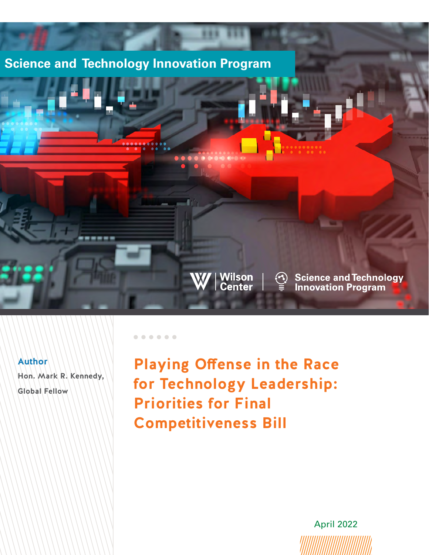# **Science and Technology Innovation Program**

 $\begin{array}{ccccccccccccccccccccc} \bullet & \bullet & \bullet & \bullet & \bullet & \bullet & \bullet & \bullet & \bullet \end{array}$ 

| Wilson<br>| Center |

**<u>→</u>** Science and Technology<br>■ Innovation Program

### **Author**

**Hon. Mark R. Kennedy, Global Fellow**

**Playing Offense in the Race for Technology Leadership: Priorities for Final Competitiveness Bill**

April 2022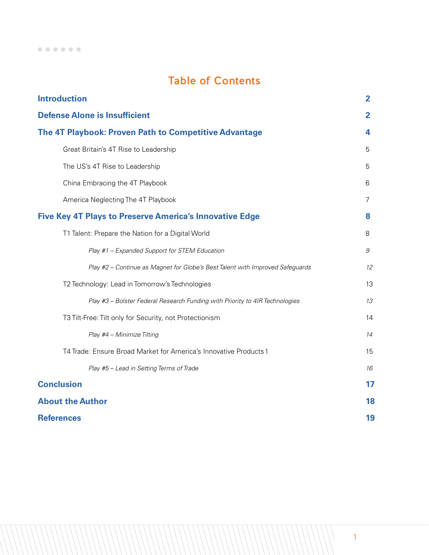# Table of Contents

| <b>Introduction</b>                                                           | $\overline{2}$ |
|-------------------------------------------------------------------------------|----------------|
| <b>Defense Alone is Insufficient</b>                                          | $\overline{2}$ |
| The 4T Playbook: Proven Path to Competitive Advantage                         | 4              |
| Great Britain's 4T Rise to Leadership                                         | 5              |
| The US's 4T Rise to Leadership                                                | 5              |
| China Embracing the 4T Playbook                                               | 6              |
| America Neglecting The 4T Playbook                                            | 7              |
| <b>Five Key 4T Plays to Preserve America's Innovative Edge</b>                | 8              |
| T1 Talent: Prepare the Nation for a Digital World                             | 8              |
| Play #1 - Expanded Support for STEM Education                                 | 9              |
| Play #2 - Continue as Magnet for Globe's Best Talent with Improved Safeguards | 12             |
| T2 Technology: Lead in Tomorrow's Technologies                                | 13             |
| Play #3 - Bolster Federal Research Funding with Priority to 4IR Technologies  | 13             |
| T3 Tilt-Free: Tilt only for Security, not Protectionism                       | 14             |
| Play #4 - Minimize Tilting                                                    | 14             |
| T4 Trade: Ensure Broad Market for America's Innovative Products 1             | 15             |
| Play #5 - Lead in Setting Terms of Trade                                      | 16             |
| <b>Conclusion</b>                                                             | 17             |
| <b>About the Author</b>                                                       | 18             |
| <b>References</b>                                                             | 19             |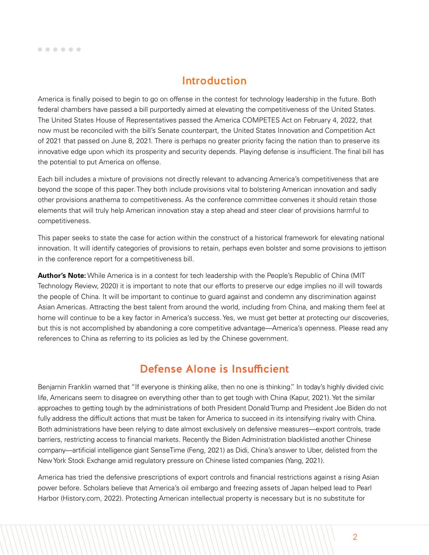# Introduction

<span id="page-2-0"></span>America is finally poised to begin to go on offense in the contest for technology leadership in the future. Both federal chambers have passed a bill purportedly aimed at elevating the competitiveness of the United States. The United States House of Representatives passed the America COMPETES Act on February 4, 2022, that now must be reconciled with the bill's Senate counterpart, the United States Innovation and Competition Act of 2021 that passed on June 8, 2021. There is perhaps no greater priority facing the nation than to preserve its innovative edge upon which its prosperity and security depends. Playing defense is insufficient. The final bill has the potential to put America on offense.

Each bill includes a mixture of provisions not directly relevant to advancing America's competitiveness that are beyond the scope of this paper. They both include provisions vital to bolstering American innovation and sadly other provisions anathema to competitiveness. As the conference committee convenes it should retain those elements that will truly help American innovation stay a step ahead and steer clear of provisions harmful to competitiveness.

This paper seeks to state the case for action within the construct of a historical framework for elevating national innovation. It will identify categories of provisions to retain, perhaps even bolster and some provisions to jettison in the conference report for a competitiveness bill.

**Author's Note:** While America is in a contest for tech leadership with the People's Republic of China (MIT Technology Review, 2020) it is important to note that our efforts to preserve our edge implies no ill will towards the people of China. It will be important to continue to guard against and condemn any discrimination against Asian Americas. Attracting the best talent from around the world, including from China, and making them feel at home will continue to be a key factor in America's success. Yes, we must get better at protecting our discoveries, but this is not accomplished by abandoning a core competitive advantage—America's openness. Please read any references to China as referring to its policies as led by the Chinese government.

# Defense Alone is Insufficient

Benjamin Franklin warned that "If everyone is thinking alike, then no one is thinking." In today's highly divided civic life, Americans seem to disagree on everything other than to get tough with China (Kapur, 2021). Yet the similar approaches to getting tough by the administrations of both President Donald Trump and President Joe Biden do not fully address the difficult actions that must be taken for America to succeed in its intensifying rivalry with China. Both administrations have been relying to date almost exclusively on defensive measures—export controls, trade barriers, restricting access to financial markets. Recently the Biden Administration blacklisted another Chinese company—artificial intelligence giant SenseTime (Feng, 2021) as Didi, China's answer to Uber, delisted from the New York Stock Exchange amid regulatory pressure on Chinese listed companies (Yang, 2021).

America has tried the defensive prescriptions of export controls and financial restrictions against a rising Asian power before. Scholars believe that America's oil embargo and freezing assets of Japan helped lead to Pearl Harbor (History.com, 2022). Protecting American intellectual property is necessary but is no substitute for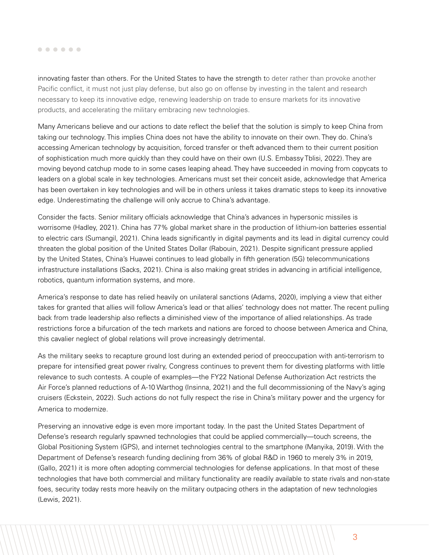innovating faster than others. For the United States to have the strength to deter rather than provoke another Pacific conflict, it must not just play defense, but also go on offense by investing in the talent and research necessary to keep its innovative edge, renewing leadership on trade to ensure markets for its innovative products, and accelerating the military embracing new technologies.

Many Americans believe and our actions to date reflect the belief that the solution is simply to keep China from taking our technology. This implies China does not have the ability to innovate on their own. They do. China's accessing American technology by acquisition, forced transfer or theft advanced them to their current position of sophistication much more quickly than they could have on their own (U.S. Embassy Tblisi, 2022). They are moving beyond catchup mode to in some cases leaping ahead. They have succeeded in moving from copycats to leaders on a global scale in key technologies. Americans must set their conceit aside, acknowledge that America has been overtaken in key technologies and will be in others unless it takes dramatic steps to keep its innovative edge. Underestimating the challenge will only accrue to China's advantage.

Consider the facts. Senior military officials acknowledge that China's advances in hypersonic missiles is worrisome (Hadley, 2021). China has 77% global market share in the production of lithium-ion batteries essential to electric cars (Sumangil, 2021). China leads significantly in digital payments and its lead in digital currency could threaten the global position of the United States Dollar (Rabouin, 2021). Despite significant pressure applied by the United States, China's Huawei continues to lead globally in fifth generation (5G) telecommunications infrastructure installations (Sacks, 2021). China is also making great strides in advancing in artificial intelligence, robotics, quantum information systems, and more.

America's response to date has relied heavily on unilateral sanctions (Adams, 2020), implying a view that either takes for granted that allies will follow America's lead or that allies' technology does not matter. The recent pulling back from trade leadership also reflects a diminished view of the importance of allied relationships. As trade restrictions force a bifurcation of the tech markets and nations are forced to choose between America and China, this cavalier neglect of global relations will prove increasingly detrimental.

As the military seeks to recapture ground lost during an extended period of preoccupation with anti-terrorism to prepare for intensified great power rivalry, Congress continues to prevent them for divesting platforms with little relevance to such contests. A couple of examples—the FY22 National Defense Authorization Act restricts the Air Force's planned reductions of A-10 Warthog (Insinna, 2021) and the full decommissioning of the Navy's aging cruisers (Eckstein, 2022). Such actions do not fully respect the rise in China's military power and the urgency for America to modernize.

Preserving an innovative edge is even more important today. In the past the United States Department of Defense's research regularly spawned technologies that could be applied commercially—touch screens, the Global Positioning System (GPS), and internet technologies central to the smartphone (Manyika, 2019). With the Department of Defense's research funding declining from 36% of global R&D in 1960 to merely 3% in 2019, (Gallo, 2021) it is more often adopting commercial technologies for defense applications. In that most of these technologies that have both commercial and military functionality are readily available to state rivals and non-state foes, security today rests more heavily on the military outpacing others in the adaptation of new technologies (Lewis, 2021).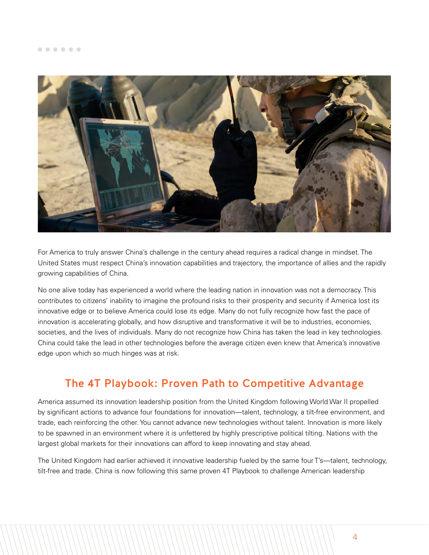<span id="page-4-0"></span>

For America to truly answer China's challenge in the century ahead requires a radical change in mindset. The United States must respect China's innovation capabilities and trajectory, the importance of allies and the rapidly growing capabilities of China.

No one alive today has experienced a world where the leading nation in innovation was not a democracy. This contributes to citizens' inability to imagine the profound risks to their prosperity and security if America lost its innovative edge or to believe America could lose its edge. Many do not fully recognize how fast the pace of innovation is accelerating globally, and how disruptive and transformative it will be to industries, economies, societies, and the lives of individuals. Many do not recognize how China has taken the lead in key technologies. China could take the lead in other technologies before the average citizen even knew that America's innovative edge upon which so much hinges was at risk.

# The 4T Playbook: Proven Path to Competitive Advantage

America assumed its innovation leadership position from the United Kingdom following World War II propelled by significant actions to advance four foundations for innovation—talent, technology, a tilt-free environment, and trade, each reinforcing the other. You cannot advance new technologies without talent. Innovation is more likely to be spawned in an environment where it is unfettered by highly prescriptive political tilting. Nations with the largest global markets for their innovations can afford to keep innovating and stay ahead.

The United Kingdom had earlier achieved it innovative leadership fueled by the same four T's—talent, technology, tilt-free and trade. China is now following this same proven 4T Playbook to challenge American leadership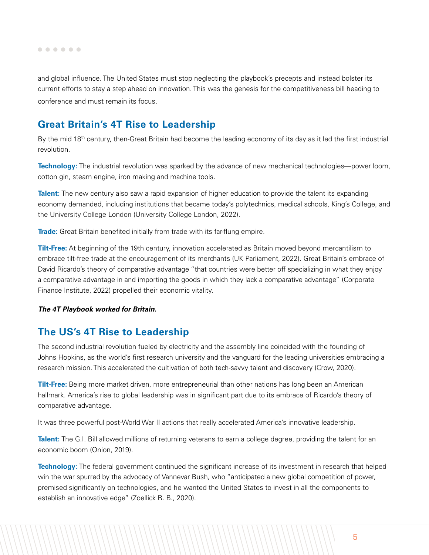<span id="page-5-0"></span>and global influence. The United States must stop neglecting the playbook's precepts and instead bolster its current efforts to stay a step ahead on innovation. This was the genesis for the competitiveness bill heading to conference and must remain its focus.

## **Great Britain's 4T Rise to Leadership**

By the mid 18<sup>th</sup> century, then-Great Britain had become the leading economy of its day as it led the first industrial revolution.

**Technology:** The industrial revolution was sparked by the advance of new mechanical technologies—power loom, cotton gin, steam engine, iron making and machine tools.

**Talent:** The new century also saw a rapid expansion of higher education to provide the talent its expanding economy demanded, including institutions that became today's polytechnics, medical schools, King's College, and the University College London (University College London, 2022).

**Trade:** Great Britain benefited initially from trade with its far-flung empire.

**Tilt-Free:** At beginning of the 19th century, innovation accelerated as Britain moved beyond mercantilism to embrace tilt-free trade at the encouragement of its merchants (UK Parliament, 2022). Great Britain's embrace of David Ricardo's theory of comparative advantage "that countries were better off specializing in what they enjoy a comparative advantage in and importing the goods in which they lack a comparative advantage" (Corporate Finance Institute, 2022) propelled their economic vitality.

### *The 4T Playbook worked for Britain.*

## **The US's 4T Rise to Leadership**

The second industrial revolution fueled by electricity and the assembly line coincided with the founding of Johns Hopkins, as the world's first research university and the vanguard for the leading universities embracing a research mission. This accelerated the cultivation of both tech-savvy talent and discovery (Crow, 2020).

**Tilt-Free:** Being more market driven, more entrepreneurial than other nations has long been an American hallmark. America's rise to global leadership was in significant part due to its embrace of Ricardo's theory of comparative advantage.

It was three powerful post-World War II actions that really accelerated America's innovative leadership.

**Talent:** The G.I. Bill allowed millions of returning veterans to earn a college degree, providing the talent for an economic boom (Onion, 2019).

**Technology:** The federal government continued the significant increase of its investment in research that helped win the war spurred by the advocacy of Vannevar Bush, who "anticipated a new global competition of power, premised significantly on technologies, and he wanted the United States to invest in all the components to establish an innovative edge" (Zoellick R. B., 2020).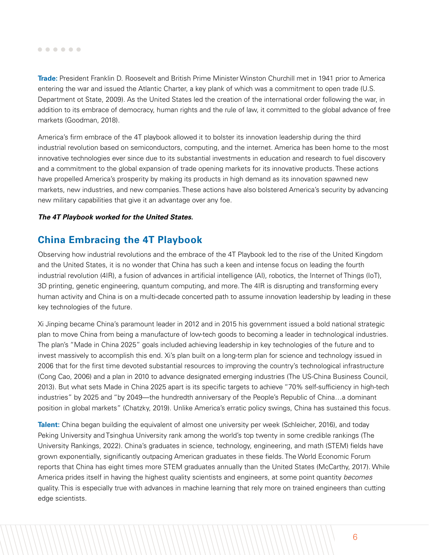#### <span id="page-6-0"></span> $0 0 0 0 0 0$

**Trade:** President Franklin D. Roosevelt and British Prime Minister Winston Churchill met in 1941 prior to America entering the war and issued the Atlantic Charter, a key plank of which was a commitment to open trade (U.S. Department ot State, 2009). As the United States led the creation of the international order following the war, in addition to its embrace of democracy, human rights and the rule of law, it committed to the global advance of free markets (Goodman, 2018).

America's firm embrace of the 4T playbook allowed it to bolster its innovation leadership during the third industrial revolution based on semiconductors, computing, and the internet. America has been home to the most innovative technologies ever since due to its substantial investments in education and research to fuel discovery and a commitment to the global expansion of trade opening markets for its innovative products. These actions have propelled America's prosperity by making its products in high demand as its innovation spawned new markets, new industries, and new companies. These actions have also bolstered America's security by advancing new military capabilities that give it an advantage over any foe.

### *The 4T Playbook worked for the United States.*

## **China Embracing the 4T Playbook**

Observing how industrial revolutions and the embrace of the 4T Playbook led to the rise of the United Kingdom and the United States, it is no wonder that China has such a keen and intense focus on leading the fourth industrial revolution (4IR), a fusion of advances in artificial intelligence (AI), robotics, the Internet of Things (IoT), 3D printing, genetic engineering, quantum computing, and more. The 4IR is disrupting and transforming every human activity and China is on a multi-decade concerted path to assume innovation leadership by leading in these key technologies of the future.

Xi Jinping became China's paramount leader in 2012 and in 2015 his government issued a bold national strategic plan to move China from being a manufacture of low-tech goods to becoming a leader in technological industries. The plan's "Made in China 2025" goals included achieving leadership in key technologies of the future and to invest massively to accomplish this end. Xi's plan built on a long-term plan for science and technology issued in 2006 that for the first time devoted substantial resources to improving the country's technological infrastructure (Cong Cao, 2006) and a plan in 2010 to advance designated emerging industries (The US-China Business Council, 2013). But what sets Made in China 2025 apart is its specific targets to achieve "70% self-sufficiency in high-tech industries" by 2025 and "by 2049—the hundredth anniversary of the People's Republic of China…a dominant position in global markets" (Chatzky, 2019). Unlike America's erratic policy swings, China has sustained this focus.

**Talent:** China began building the equivalent of almost one university per week (Schleicher, 2016), and today Peking University and Tsinghua University rank among the world's top twenty in some credible rankings (The University Rankings, 2022). China's graduates in science, technology, engineering, and math (STEM) fields have grown exponentially, significantly outpacing American graduates in these fields. The World Economic Forum reports that China has eight times more STEM graduates annually than the United States (McCarthy, 2017). While America prides itself in having the highest quality scientists and engineers, at some point quantity *becomes* quality. This is especially true with advances in machine learning that rely more on trained engineers than cutting edge scientists.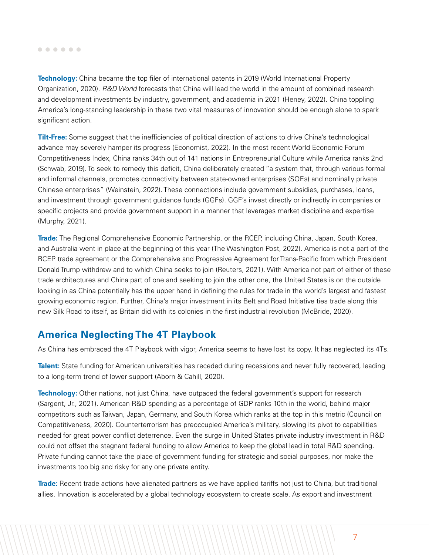<span id="page-7-0"></span>**Technology:** China became the top filer of international patents in 2019 (World International Property Organization, 2020). *R&D World* forecasts that China will lead the world in the amount of combined research and development investments by industry, government, and academia in 2021 (Heney, 2022). China toppling America's long-standing leadership in these two vital measures of innovation should be enough alone to spark significant action.

**Tilt-Free:** Some suggest that the inefficiencies of political direction of actions to drive China's technological advance may severely hamper its progress (Economist, 2022). In the most recent World Economic Forum Competitiveness Index, China ranks 34th out of 141 nations in Entrepreneurial Culture while America ranks 2nd (Schwab, 2019). To seek to remedy this deficit, China deliberately created "a system that, through various formal and informal channels, promotes connectivity between state-owned enterprises (SOEs) and nominally private Chinese enterprises" (Weinstein, 2022). These connections include government subsidies, purchases, loans, and investment through government guidance funds (GGFs). GGF's invest directly or indirectly in companies or specific projects and provide government support in a manner that leverages market discipline and expertise (Murphy, 2021).

**Trade:** The Regional Comprehensive Economic Partnership, or the RCEP, including China, Japan, South Korea, and Australia went in place at the beginning of this year (The Washington Post, 2022). America is not a part of the RCEP trade agreement or the Comprehensive and Progressive Agreement for Trans-Pacific from which President Donald Trump withdrew and to which China seeks to join (Reuters, 2021). With America not part of either of these trade architectures and China part of one and seeking to join the other one, the United States is on the outside looking in as China potentially has the upper hand in defining the rules for trade in the world's largest and fastest growing economic region. Further, China's major investment in its Belt and Road Initiative ties trade along this new Silk Road to itself, as Britain did with its colonies in the first industrial revolution (McBride, 2020).

## **America Neglecting The 4T Playbook**

As China has embraced the 4T Playbook with vigor, America seems to have lost its copy. It has neglected its 4Ts.

**Talent:** State funding for American universities has receded during recessions and never fully recovered, leading to a long-term trend of lower support (Aborn & Cahill, 2020).

**Technology:** Other nations, not just China, have outpaced the federal government's support for research (Sargent, Jr., 2021). American R&D spending as a percentage of GDP ranks 10th in the world, behind major competitors such as Taiwan, Japan, Germany, and South Korea which ranks at the top in this metric (Council on Competitiveness, 2020). Counterterrorism has preoccupied America's military, slowing its pivot to capabilities needed for great power conflict deterrence. Even the surge in United States private industry investment in R&D could not offset the stagnant federal funding to allow America to keep the global lead in total R&D spending. Private funding cannot take the place of government funding for strategic and social purposes, nor make the investments too big and risky for any one private entity.

**Trade:** Recent trade actions have alienated partners as we have applied tariffs not just to China, but traditional allies. Innovation is accelerated by a global technology ecosystem to create scale. As export and investment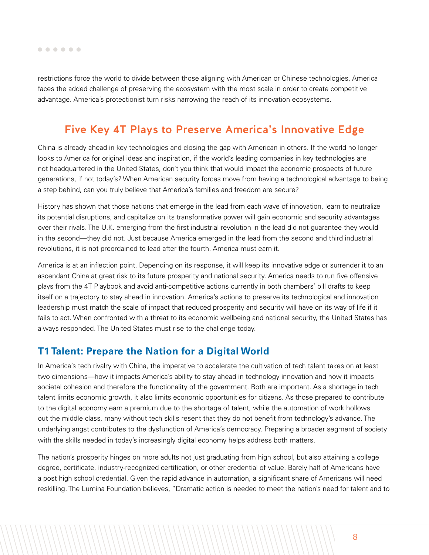<span id="page-8-0"></span>restrictions force the world to divide between those aligning with American or Chinese technologies, America faces the added challenge of preserving the ecosystem with the most scale in order to create competitive advantage. America's protectionist turn risks narrowing the reach of its innovation ecosystems.

## Five Key 4T Plays to Preserve America's Innovative Edge

China is already ahead in key technologies and closing the gap with American in others. If the world no longer looks to America for original ideas and inspiration, if the world's leading companies in key technologies are not headquartered in the United States, don't you think that would impact the economic prospects of future generations, if not today's? When American security forces move from having a technological advantage to being a step behind, can you truly believe that America's families and freedom are secure?

History has shown that those nations that emerge in the lead from each wave of innovation, learn to neutralize its potential disruptions, and capitalize on its transformative power will gain economic and security advantages over their rivals. The U.K. emerging from the first industrial revolution in the lead did not guarantee they would in the second—they did not. Just because America emerged in the lead from the second and third industrial revolutions, it is not preordained to lead after the fourth. America must earn it.

America is at an inflection point. Depending on its response, it will keep its innovative edge or surrender it to an ascendant China at great risk to its future prosperity and national security. America needs to run five offensive plays from the 4T Playbook and avoid anti-competitive actions currently in both chambers' bill drafts to keep itself on a trajectory to stay ahead in innovation. America's actions to preserve its technological and innovation leadership must match the scale of impact that reduced prosperity and security will have on its way of life if it fails to act. When confronted with a threat to its economic wellbeing and national security, the United States has always responded. The United States must rise to the challenge today.

## **T1 Talent: Prepare the Nation for a Digital World**

In America's tech rivalry with China, the imperative to accelerate the cultivation of tech talent takes on at least two dimensions—how it impacts America's ability to stay ahead in technology innovation and how it impacts societal cohesion and therefore the functionality of the government. Both are important. As a shortage in tech talent limits economic growth, it also limits economic opportunities for citizens. As those prepared to contribute to the digital economy earn a premium due to the shortage of talent, while the automation of work hollows out the middle class, many without tech skills resent that they do not benefit from technology's advance. The underlying angst contributes to the dysfunction of America's democracy. Preparing a broader segment of society with the skills needed in today's increasingly digital economy helps address both matters.

The nation's prosperity hinges on more adults not just graduating from high school, but also attaining a college degree, certificate, industry-recognized certification, or other credential of value. Barely half of Americans have a post high school credential. Given the rapid advance in automation, a significant share of Americans will need reskilling. The Lumina Foundation believes, "Dramatic action is needed to meet the nation's need for talent and to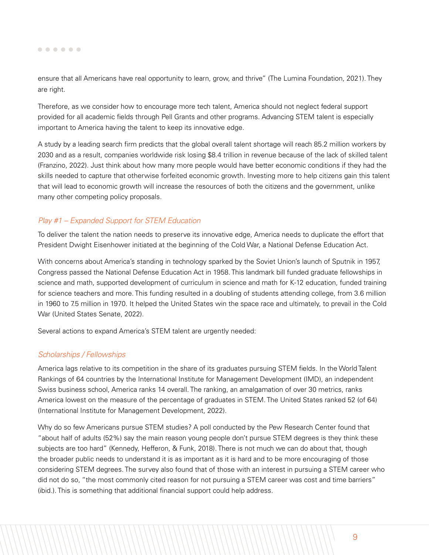ensure that all Americans have real opportunity to learn, grow, and thrive" (The Lumina Foundation, 2021). They are right.

Therefore, as we consider how to encourage more tech talent, America should not neglect federal support provided for all academic fields through Pell Grants and other programs. Advancing STEM talent is especially important to America having the talent to keep its innovative edge.

A study by a leading search firm predicts that the global overall talent shortage will reach 85.2 million workers by 2030 and as a result, companies worldwide risk losing \$8.4 trillion in revenue because of the lack of skilled talent (Franzino, 2022). Just think about how many more people would have better economic conditions if they had the skills needed to capture that otherwise forfeited economic growth. Investing more to help citizens gain this talent that will lead to economic growth will increase the resources of both the citizens and the government, unlike many other competing policy proposals.

### *Play #1 – Expanded Support for STEM Education*

To deliver the talent the nation needs to preserve its innovative edge, America needs to duplicate the effort that President Dwight Eisenhower initiated at the beginning of the Cold War, a National Defense Education Act.

With concerns about America's standing in technology sparked by the Soviet Union's launch of Sputnik in 1957, Congress passed the National Defense Education Act in 1958. This landmark bill funded graduate fellowships in science and math, supported development of curriculum in science and math for K-12 education, funded training for science teachers and more. This funding resulted in a doubling of students attending college, from 3.6 million in 1960 to 7.5 million in 1970. It helped the United States win the space race and ultimately, to prevail in the Cold War (United States Senate, 2022).

Several actions to expand America's STEM talent are urgently needed:

### *Scholarships / Fellowships*

America lags relative to its competition in the share of its graduates pursuing STEM fields. In the World Talent Rankings of 64 countries by the International Institute for Management Development (IMD), an independent Swiss business school, America ranks 14 overall. The ranking, an amalgamation of over 30 metrics, ranks America lowest on the measure of the percentage of graduates in STEM. The United States ranked 52 (of 64) (International Institute for Management Development, 2022).

Why do so few Americans pursue STEM studies? A poll conducted by the Pew Research Center found that "about half of adults (52%) say the main reason young people don't pursue STEM degrees is they think these subjects are too hard" (Kennedy, Hefferon, & Funk, 2018). There is not much we can do about that, though the broader public needs to understand it is as important as it is hard and to be more encouraging of those considering STEM degrees. The survey also found that of those with an interest in pursuing a STEM career who did not do so, "the most commonly cited reason for not pursuing a STEM career was cost and time barriers" (ibid.). This is something that additional financial support could help address.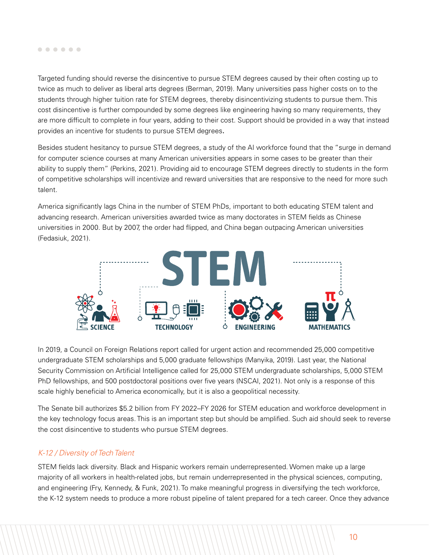Targeted funding should reverse the disincentive to pursue STEM degrees caused by their often costing up to twice as much to deliver as liberal arts degrees (Berman, 2019). Many universities pass higher costs on to the students through higher tuition rate for STEM degrees, thereby disincentivizing students to pursue them. This cost disincentive is further compounded by some degrees like engineering having so many requirements, they are more difficult to complete in four years, adding to their cost. Support should be provided in a way that instead provides an incentive for students to pursue STEM degrees.

Besides student hesitancy to pursue STEM degrees, a study of the AI workforce found that the "surge in demand for computer science courses at many American universities appears in some cases to be greater than their ability to supply them" (Perkins, 2021). Providing aid to encourage STEM degrees directly to students in the form of competitive scholarships will incentivize and reward universities that are responsive to the need for more such talent.

America significantly lags China in the number of STEM PhDs, important to both educating STEM talent and advancing research. American universities awarded twice as many doctorates in STEM fields as Chinese universities in 2000. But by 2007, the order had flipped, and China began outpacing American universities (Fedasiuk, 2021).



In 2019, a Council on Foreign Relations report called for urgent action and recommended 25,000 competitive undergraduate STEM scholarships and 5,000 graduate fellowships (Manyika, 2019). Last year, the National Security Commission on Artificial Intelligence called for 25,000 STEM undergraduate scholarships, 5,000 STEM PhD fellowships, and 500 postdoctoral positions over five years (NSCAI, 2021). Not only is a response of this scale highly beneficial to America economically, but it is also a geopolitical necessity.

The Senate bill authorizes \$5.2 billion from FY 2022–FY 2026 for STEM education and workforce development in the key technology focus areas. This is an important step but should be amplified. Such aid should seek to reverse the cost disincentive to students who pursue STEM degrees.

### *K-12 / Diversity of Tech Talent*

STEM fields lack diversity. Black and Hispanic workers remain underrepresented. Women make up a large majority of all workers in health-related jobs, but remain underrepresented in the physical sciences, computing, and engineering (Fry, Kennedy, & Funk, 2021). To make meaningful progress in diversifying the tech workforce, the K-12 system needs to produce a more robust pipeline of talent prepared for a tech career. Once they advance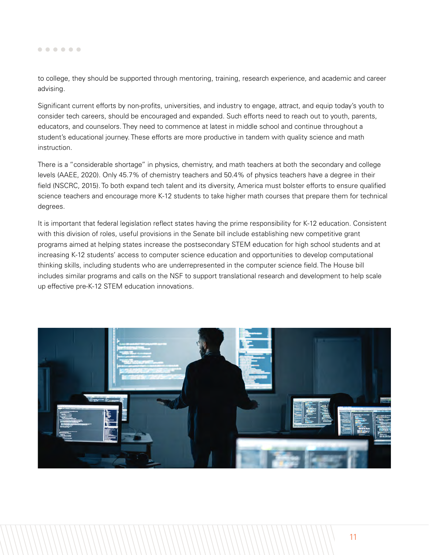to college, they should be supported through mentoring, training, research experience, and academic and career advising.

Significant current efforts by non-profits, universities, and industry to engage, attract, and equip today's youth to consider tech careers, should be encouraged and expanded. Such efforts need to reach out to youth, parents, educators, and counselors. They need to commence at latest in middle school and continue throughout a student's educational journey. These efforts are more productive in tandem with quality science and math instruction.

There is a "considerable shortage" in physics, chemistry, and math teachers at both the secondary and college levels (AAEE, 2020). Only 45.7% of chemistry teachers and 50.4% of physics teachers have a degree in their field (NSCRC, 2015). To both expand tech talent and its diversity, America must bolster efforts to ensure qualified science teachers and encourage more K-12 students to take higher math courses that prepare them for technical degrees.

It is important that federal legislation reflect states having the prime responsibility for K-12 education. Consistent with this division of roles, useful provisions in the Senate bill include establishing new competitive grant programs aimed at helping states increase the postsecondary STEM education for high school students and at increasing K-12 students' access to computer science education and opportunities to develop computational thinking skills, including students who are underrepresented in the computer science field. The House bill includes similar programs and calls on the NSF to support translational research and development to help scale up effective pre-K-12 STEM education innovations.

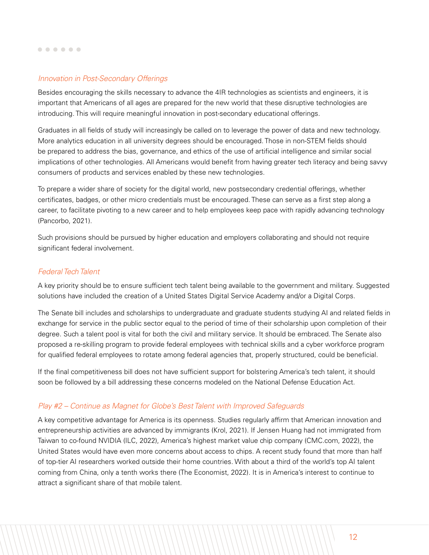### *Innovation in Post-Secondary Offerings*

Besides encouraging the skills necessary to advance the 4IR technologies as scientists and engineers, it is important that Americans of all ages are prepared for the new world that these disruptive technologies are introducing. This will require meaningful innovation in post-secondary educational offerings.

Graduates in all fields of study will increasingly be called on to leverage the power of data and new technology. More analytics education in all university degrees should be encouraged. Those in non-STEM fields should be prepared to address the bias, governance, and ethics of the use of artificial intelligence and similar social implications of other technologies. All Americans would benefit from having greater tech literacy and being savvy consumers of products and services enabled by these new technologies.

To prepare a wider share of society for the digital world, new postsecondary credential offerings, whether certificates, badges, or other micro credentials must be encouraged. These can serve as a first step along a career, to facilitate pivoting to a new career and to help employees keep pace with rapidly advancing technology (Pancorbo, 2021).

Such provisions should be pursued by higher education and employers collaborating and should not require significant federal involvement.

### *Federal Tech Talent*

A key priority should be to ensure sufficient tech talent being available to the government and military. Suggested solutions have included the creation of a United States Digital Service Academy and/or a Digital Corps.

The Senate bill includes and scholarships to undergraduate and graduate students studying AI and related fields in exchange for service in the public sector equal to the period of time of their scholarship upon completion of their degree. Such a talent pool is vital for both the civil and military service. It should be embraced. The Senate also proposed a re-skilling program to provide federal employees with technical skills and a cyber workforce program for qualified federal employees to rotate among federal agencies that, properly structured, could be beneficial.

If the final competitiveness bill does not have sufficient support for bolstering America's tech talent, it should soon be followed by a bill addressing these concerns modeled on the National Defense Education Act.

### *Play #2 – Continue as Magnet for Globe's Best Talent with Improved Safeguards*

A key competitive advantage for America is its openness. Studies regularly affirm that American innovation and entrepreneurship activities are advanced by immigrants (Krol, 2021). If Jensen Huang had not immigrated from Taiwan to co-found NVIDIA (ILC, 2022), America's highest market value chip company (CMC.com, 2022), the United States would have even more concerns about access to chips. A recent study found that more than half of top-tier AI researchers worked outside their home countries. With about a third of the world's top AI talent coming from China, only a tenth works there (The Economist, 2022). It is in America's interest to continue to attract a significant share of that mobile talent.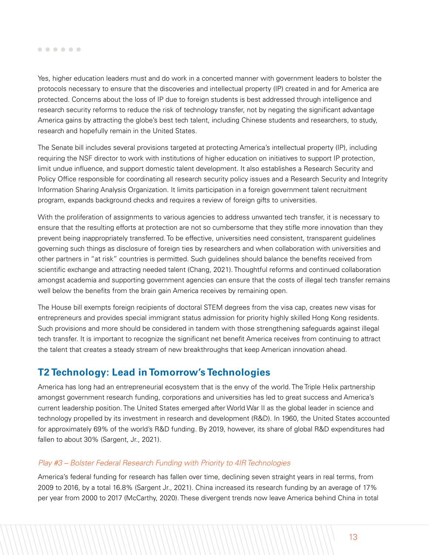<span id="page-13-0"></span>Yes, higher education leaders must and do work in a concerted manner with government leaders to bolster the protocols necessary to ensure that the discoveries and intellectual property (IP) created in and for America are protected. Concerns about the loss of IP due to foreign students is best addressed through intelligence and research security reforms to reduce the risk of technology transfer, not by negating the significant advantage America gains by attracting the globe's best tech talent, including Chinese students and researchers, to study, research and hopefully remain in the United States.

The Senate bill includes several provisions targeted at protecting America's intellectual property (IP), including requiring the NSF director to work with institutions of higher education on initiatives to support IP protection, limit undue influence, and support domestic talent development. It also establishes a Research Security and Policy Office responsible for coordinating all research security policy issues and a Research Security and Integrity Information Sharing Analysis Organization. It limits participation in a foreign government talent recruitment program, expands background checks and requires a review of foreign gifts to universities.

With the proliferation of assignments to various agencies to address unwanted tech transfer, it is necessary to ensure that the resulting efforts at protection are not so cumbersome that they stifle more innovation than they prevent being inappropriately transferred. To be effective, universities need consistent, transparent guidelines governing such things as disclosure of foreign ties by researchers and when collaboration with universities and other partners in "at risk" countries is permitted. Such guidelines should balance the benefits received from scientific exchange and attracting needed talent (Chang, 2021). Thoughtful reforms and continued collaboration amongst academia and supporting government agencies can ensure that the costs of illegal tech transfer remains well below the benefits from the brain gain America receives by remaining open.

The House bill exempts foreign recipients of doctoral STEM degrees from the visa cap, creates new visas for entrepreneurs and provides special immigrant status admission for priority highly skilled Hong Kong residents. Such provisions and more should be considered in tandem with those strengthening safeguards against illegal tech transfer. It is important to recognize the significant net benefit America receives from continuing to attract the talent that creates a steady stream of new breakthroughs that keep American innovation ahead.

## **T2 Technology: Lead in Tomorrow's Technologies**

America has long had an entrepreneurial ecosystem that is the envy of the world. The Triple Helix partnership amongst government research funding, corporations and universities has led to great success and America's current leadership position. The United States emerged after World War II as the global leader in science and technology propelled by its investment in research and development (R&D). In 1960, the United States accounted for approximately 69% of the world's R&D funding. By 2019, however, its share of global R&D expenditures had fallen to about 30% (Sargent, Jr., 2021).

### *Play #3 – Bolster Federal Research Funding with Priority to 4IR Technologies*

America's federal funding for research has fallen over time, declining seven straight years in real terms, from 2009 to 2016, by a total 16.8% (Sargent Jr., 2021). China increased its research funding by an average of 17% per year from 2000 to 2017 (McCarthy, 2020). These divergent trends now leave America behind China in total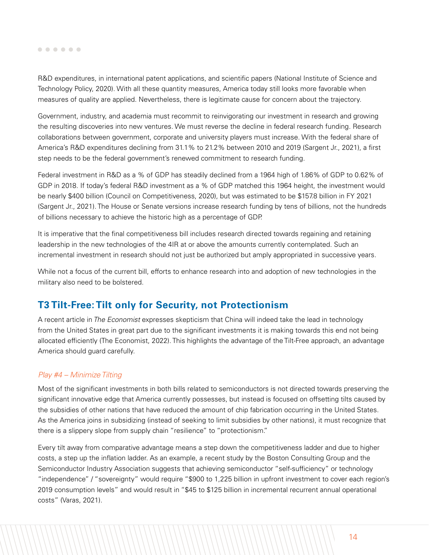<span id="page-14-0"></span>R&D expenditures, in international patent applications, and scientific papers (National Institute of Science and Technology Policy, 2020). With all these quantity measures, America today still looks more favorable when measures of quality are applied. Nevertheless, there is legitimate cause for concern about the trajectory.

Government, industry, and academia must recommit to reinvigorating our investment in research and growing the resulting discoveries into new ventures. We must reverse the decline in federal research funding. Research collaborations between government, corporate and university players must increase. With the federal share of America's R&D expenditures declining from 31.1% to 21.2% between 2010 and 2019 (Sargent Jr., 2021), a first step needs to be the federal government's renewed commitment to research funding.

Federal investment in R&D as a % of GDP has steadily declined from a 1964 high of 1.86% of GDP to 0.62% of GDP in 2018. If today's federal R&D investment as a % of GDP matched this 1964 height, the investment would be nearly \$400 billion (Council on Competitiveness, 2020), but was estimated to be \$157.8 billion in FY 2021 (Sargent Jr., 2021). The House or Senate versions increase research funding by tens of billions, not the hundreds of billions necessary to achieve the historic high as a percentage of GDP.

It is imperative that the final competitiveness bill includes research directed towards regaining and retaining leadership in the new technologies of the 4IR at or above the amounts currently contemplated. Such an incremental investment in research should not just be authorized but amply appropriated in successive years.

While not a focus of the current bill, efforts to enhance research into and adoption of new technologies in the military also need to be bolstered.

## **T3 Tilt-Free: Tilt only for Security, not Protectionism**

A recent article in *The Economist* expresses skepticism that China will indeed take the lead in technology from the United States in great part due to the significant investments it is making towards this end not being allocated efficiently (The Economist, 2022). This highlights the advantage of the Tilt-Free approach, an advantage America should guard carefully.

### *Play #4 – Minimize Tilting*

Most of the significant investments in both bills related to semiconductors is not directed towards preserving the significant innovative edge that America currently possesses, but instead is focused on offsetting tilts caused by the subsidies of other nations that have reduced the amount of chip fabrication occurring in the United States. As the America joins in subsidizing (instead of seeking to limit subsidies by other nations), it must recognize that there is a slippery slope from supply chain "resilience" to "protectionism."

Every tilt away from comparative advantage means a step down the competitiveness ladder and due to higher costs, a step up the inflation ladder. As an example, a recent study by the Boston Consulting Group and the Semiconductor Industry Association suggests that achieving semiconductor "self-sufficiency" or technology "independence" / "sovereignty" would require "\$900 to 1,225 billion in upfront investment to cover each region's 2019 consumption levels" and would result in "\$45 to \$125 billion in incremental recurrent annual operational costs" (Varas, 2021).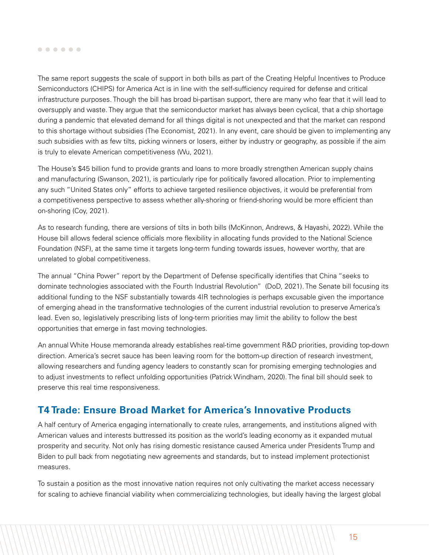#### <span id="page-15-0"></span> $0 0 0 0 0 0$

The same report suggests the scale of support in both bills as part of the Creating Helpful Incentives to Produce Semiconductors (CHIPS) for America Act is in line with the self-sufficiency required for defense and critical infrastructure purposes. Though the bill has broad bi-partisan support, there are many who fear that it will lead to oversupply and waste. They argue that the semiconductor market has always been cyclical, that a chip shortage during a pandemic that elevated demand for all things digital is not unexpected and that the market can respond to this shortage without subsidies (The Economist, 2021). In any event, care should be given to implementing any such subsidies with as few tilts, picking winners or losers, either by industry or geography, as possible if the aim is truly to elevate American competitiveness (Wu, 2021).

The House's \$45 billion fund to provide grants and loans to more broadly strengthen American supply chains and manufacturing (Swanson, 2021), is particularly ripe for politically favored allocation. Prior to implementing any such "United States only" efforts to achieve targeted resilience objectives, it would be preferential from a competitiveness perspective to assess whether ally-shoring or friend-shoring would be more efficient than on-shoring (Coy, 2021).

As to research funding, there are versions of tilts in both bills (McKinnon, Andrews, & Hayashi, 2022). While the House bill allows federal science officials more flexibility in allocating funds provided to the National Science Foundation (NSF), at the same time it targets long-term funding towards issues, however worthy, that are unrelated to global competitiveness.

The annual "China Power" report by the Department of Defense specifically identifies that China "seeks to dominate technologies associated with the Fourth Industrial Revolution" (DoD, 2021). The Senate bill focusing its additional funding to the NSF substantially towards 4IR technologies is perhaps excusable given the importance of emerging ahead in the transformative technologies of the current industrial revolution to preserve America's lead. Even so, legislatively prescribing lists of long-term priorities may limit the ability to follow the best opportunities that emerge in fast moving technologies.

An annual White House memoranda already establishes real-time government R&D priorities, providing top-down direction. America's secret sauce has been leaving room for the bottom-up direction of research investment, allowing researchers and funding agency leaders to constantly scan for promising emerging technologies and to adjust investments to reflect unfolding opportunities (Patrick Windham, 2020). The final bill should seek to preserve this real time responsiveness.

## **T4 Trade: Ensure Broad Market for America's Innovative Products**

A half century of America engaging internationally to create rules, arrangements, and institutions aligned with American values and interests buttressed its position as the world's leading economy as it expanded mutual prosperity and security. Not only has rising domestic resistance caused America under Presidents Trump and Biden to pull back from negotiating new agreements and standards, but to instead implement protectionist measures.

To sustain a position as the most innovative nation requires not only cultivating the market access necessary for scaling to achieve financial viability when commercializing technologies, but ideally having the largest global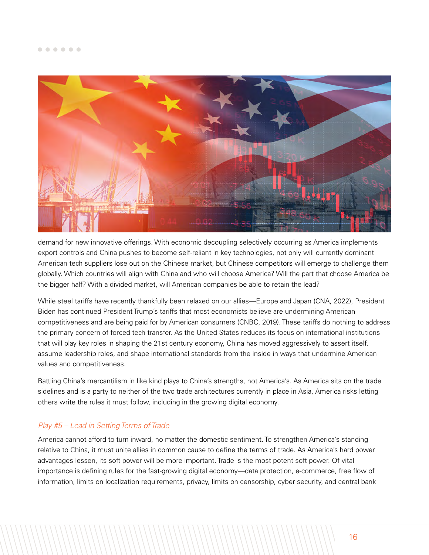

demand for new innovative offerings. With economic decoupling selectively occurring as America implements export controls and China pushes to become self-reliant in key technologies, not only will currently dominant American tech suppliers lose out on the Chinese market, but Chinese competitors will emerge to challenge them globally. Which countries will align with China and who will choose America? Will the part that choose America be the bigger half? With a divided market, will American companies be able to retain the lead?

While steel tariffs have recently thankfully been relaxed on our allies—Europe and Japan (CNA, 2022), President Biden has continued President Trump's tariffs that most economists believe are undermining American competitiveness and are being paid for by American consumers (CNBC, 2019). These tariffs do nothing to address the primary concern of forced tech transfer. As the United States reduces its focus on international institutions that will play key roles in shaping the 21st century economy, China has moved aggressively to assert itself, assume leadership roles, and shape international standards from the inside in ways that undermine American values and competitiveness.

Battling China's mercantilism in like kind plays to China's strengths, not America's. As America sits on the trade sidelines and is a party to neither of the two trade architectures currently in place in Asia, America risks letting others write the rules it must follow, including in the growing digital economy.

### *Play #5 – Lead in Setting Terms of Trade*

America cannot afford to turn inward, no matter the domestic sentiment. To strengthen America's standing relative to China, it must unite allies in common cause to define the terms of trade. As America's hard power advantages lessen, its soft power will be more important. Trade is the most potent soft power. Of vital importance is defining rules for the fast-growing digital economy—data protection, e-commerce, free flow of information, limits on localization requirements, privacy, limits on censorship, cyber security, and central bank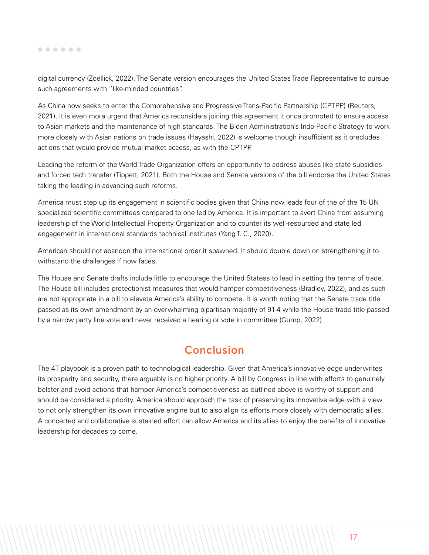<span id="page-17-0"></span>digital currency (Zoellick, 2022). The Senate version encourages the United States Trade Representative to pursue such agreements with "like-minded countries".

As China now seeks to enter the Comprehensive and Progressive Trans-Pacific Partnership (CPTPP) (Reuters, 2021), it is even more urgent that America reconsiders joining this agreement it once promoted to ensure access to Asian markets and the maintenance of high standards. The Biden Administration's Indo-Pacific Strategy to work more closely with Asian nations on trade issues (Hayashi, 2022) is welcome though insufficient as it precludes actions that would provide mutual market access, as with the CPTPP.

Leading the reform of the World Trade Organization offers an opportunity to address abuses like state subsidies and forced tech transfer (Tippett, 2021). Both the House and Senate versions of the bill endorse the United States taking the leading in advancing such reforms.

America must step up its engagement in scientific bodies given that China now leads four of the of the 15 UN specialized scientific committees compared to one led by America. It is important to avert China from assuming leadership of the World Intellectual Property Organization and to counter its well-resourced and state led engagement in international standards technical institutes (Yang T. C., 2020).

American should not abandon the international order it spawned. It should double down on strengthening it to withstand the challenges if now faces.

The House and Senate drafts include little to encourage the United Statess to lead in setting the terms of trade. The House bill includes protectionist measures that would hamper competitiveness (Bradley, 2022), and as such are not appropriate in a bill to elevate America's ability to compete. It is worth noting that the Senate trade title passed as its own amendment by an overwhelming bipartisan majority of 91-4 while the House trade title passed by a narrow party line vote and never received a hearing or vote in committee (Gump, 2022).

# **Conclusion**

The 4T playbook is a proven path to technological leadership. Given that America's innovative edge underwrites its prosperity and security, there arguably is no higher priority. A bill by Congress in line with efforts to genuinely bolster and avoid actions that hamper America's competitiveness as outlined above is worthy of support and should be considered a priority. America should approach the task of preserving its innovative edge with a view to not only strengthen its own innovative engine but to also align its efforts more closely with democratic allies. A concerted and collaborative sustained effort can allow America and its allies to enjoy the benefits of innovative leadership for decades to come.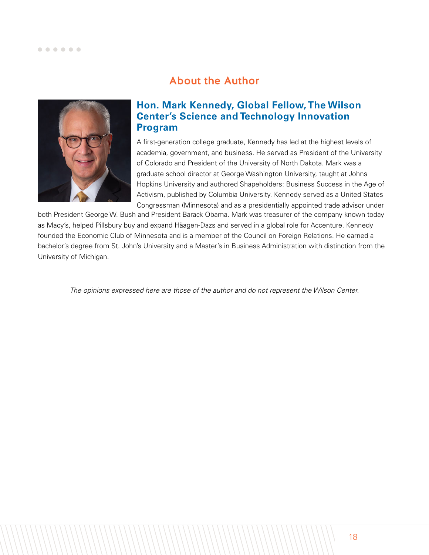# About the Author

<span id="page-18-0"></span>

## **Hon. Mark Kennedy, Global Fellow, The Wilson Center's Science and Technology Innovation Program**

A first-generation college graduate, Kennedy has led at the highest levels of academia, government, and business. He served as President of the University of Colorado and President of the University of North Dakota. Mark was a graduate school director at George Washington University, taught at Johns Hopkins University and authored Shapeholders: Business Success in the Age of Activism, published by Columbia University. Kennedy served as a United States Congressman (Minnesota) and as a presidentially appointed trade advisor under

both President George W. Bush and President Barack Obama. Mark was treasurer of the company known today as Macy's, helped Pillsbury buy and expand Häagen-Dazs and served in a global role for Accenture. Kennedy founded the Economic Club of Minnesota and is a member of the Council on Foreign Relations. He earned a bachelor's degree from St. John's University and a Master's in Business Administration with distinction from the University of Michigan.

*The opinions expressed here are those of the author and do not represent the Wilson Center.*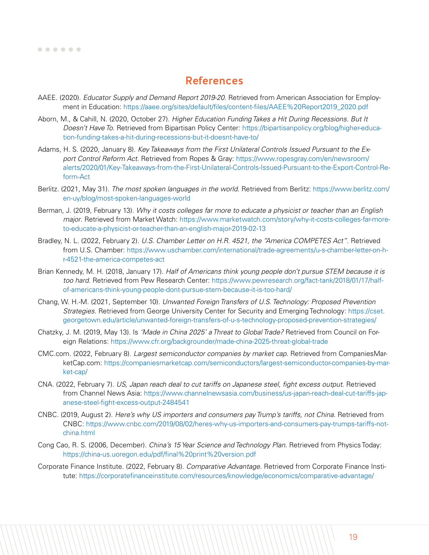### <span id="page-19-0"></span>

## References

- AAEE. (2020). *Educator Supply and Demand Report 2019-20*. Retrieved from American Association for Employment in Education: [https://aaee.org/sites/default/files/content-files/AAEE%20Report2019\\_2020.pdf](https://aaee.org/sites/default/files/content-files/AAEE%20Report2019_2020.pdf)
- Aborn, M., & Cahill, N. (2020, October 27). *Higher Education Funding Takes a Hit During Recessions. But It Doesn't Have To*. Retrieved from Bipartisan Policy Center: [https://bipartisanpolicy.org/blog/higher-educa](https://bipartisanpolicy.org/blog/higher-education-funding-takes-a-hit-during-recessions-but-it-does)[tion-funding-takes-a-hit-during-recessions-but-it-doesnt-have-to/](https://bipartisanpolicy.org/blog/higher-education-funding-takes-a-hit-during-recessions-but-it-does)
- Adams, H. S. (2020, January 8). *Key Takeaways from the First Unilateral Controls Issued Pursuant to the Export Control Reform Act*. Retrieved from Ropes & Gray: [https://www.ropesgray.com/en/newsroom/](https://www.ropesgray.com/en/newsroom/alerts/2020/01/Key-Takeaways-from-the-First-Unilateral-Control) [alerts/2020/01/Key-Takeaways-from-the-First-Unilateral-Controls-Issued-Pursuant-to-the-Export-Control-Re](https://www.ropesgray.com/en/newsroom/alerts/2020/01/Key-Takeaways-from-the-First-Unilateral-Control)[form-Act](https://www.ropesgray.com/en/newsroom/alerts/2020/01/Key-Takeaways-from-the-First-Unilateral-Control)
- Berlitz. (2021, May 31). *The most spoken languages in the world*. Retrieved from Berlitz: [https://www.berlitz.com/](https://www.berlitz.com/en-uy/blog/most-spoken-languages-world ) [en-uy/blog/most-spoken-languages-world](https://www.berlitz.com/en-uy/blog/most-spoken-languages-world )
- Berman, J. (2019, February 13). *Why it costs colleges far more to educate a physicist or teacher than an English major*. Retrieved from Market Watch: [https://www.marketwatch.com/story/why-it-costs-colleges-far-more](https://www.marketwatch.com/story/why-it-costs-colleges-far-more-to-educate-a-physicist-or-teacher-t)[to-educate-a-physicist-or-teacher-than-an-english-major-2019-02-13](https://www.marketwatch.com/story/why-it-costs-colleges-far-more-to-educate-a-physicist-or-teacher-t)
- Bradley, N. L. (2022, February 2). *U.S. Chamber Letter on H.R. 4521, the "America COMPETES Act"*. Retrieved from U.S. Chamber: [https://www.uschamber.com/international/trade-agreements/u-s-chamber-letter-on-h](https://www.uschamber.com/international/trade-agreements/u-s-chamber-letter-on-h-r-4521-the-america-)[r-4521-the-america-competes-act](https://www.uschamber.com/international/trade-agreements/u-s-chamber-letter-on-h-r-4521-the-america-)
- Brian Kennedy, M. H. (2018, January 17). *Half of Americans think young people don't pursue STEM because it is too hard*. Retrieved from Pew Research Center: [https://www.pewresearch.org/fact-tank/2018/01/17/half](https://www.pewresearch.org/fact-tank/2018/01/17/half-of-americans-think-young-people-dont-pursue-st)[of-americans-think-young-people-dont-pursue-stem-because-it-is-too-hard/](https://www.pewresearch.org/fact-tank/2018/01/17/half-of-americans-think-young-people-dont-pursue-st)
- Chang, W. H.-M. (2021, September 10). *Unwanted Foreign Transfers of U.S. Technology: Proposed Prevention Strategies*. Retrieved from George University Center for Security and Emerging Technology: [https://cset.](https://cset.georgetown.edu/article/unwanted-foreign-transfers-of-u-s-technology-proposed-prevention) [georgetown.edu/article/unwanted-foreign-transfers-of-u-s-technology-proposed-prevention-strategies/](https://cset.georgetown.edu/article/unwanted-foreign-transfers-of-u-s-technology-proposed-prevention)
- Chatzky, J. M. (2019, May 13). Is *'Made in China 2025' a Threat to Global Trade?* Retrieved from Council on Foreign Relations: [https://www.cfr.org/backgrounder/made-china-2025-threat-global-trade](https://www.cfr.org/backgrounder/made-china-2025-threat-global-trade )
- CMC.com. (2022, February 8). *Largest semiconductor companies by market cap*. Retrieved from CompaniesMarketCap.com: [https://companiesmarketcap.com/semiconductors/largest-semiconductor-companies-by-mar](https://companiesmarketcap.com/semiconductors/largest-semiconductor-companies-by-market-cap/ )[ket-cap/](https://companiesmarketcap.com/semiconductors/largest-semiconductor-companies-by-market-cap/ )
- CNA. (2022, February 7). *US, Japan reach deal to cut tariffs on Japanese steel, fight excess output*. Retrieved from Channel News Asia: [https://www.channelnewsasia.com/business/us-japan-reach-deal-cut-tariffs-jap](https://www.channelnewsasia.com/business/us-japan-reach-deal-cut-tariffs-japanese-steel-fight-excess)[anese-steel-fight-excess-output-2484541](https://www.channelnewsasia.com/business/us-japan-reach-deal-cut-tariffs-japanese-steel-fight-excess)
- CNBC. (2019, August 2). *Here's why US importers and consumers pay Trump's tariffs, not China*. Retrieved from CNBC: [https://www.cnbc.com/2019/08/02/heres-why-us-importers-and-consumers-pay-trumps-tariffs-not](https://www.cnbc.com/2019/08/02/heres-why-us-importers-and-consumers-pay-trumps-tariffs-not-china.ht)[china.html](https://www.cnbc.com/2019/08/02/heres-why-us-importers-and-consumers-pay-trumps-tariffs-not-china.ht)
- Cong Cao, R. S. (2006, December). *China's 15 Year Science and Technology Plan*. Retrieved from Physics Today: <https://china-us.uoregon.edu/pdf/final%20print%20version.pdf>
- Corporate Finance Institute. (2022, February 8). *Comparative Advantage*. Retrieved from Corporate Finance Institute:<https://corporatefinanceinstitute.com/resources/knowledge/economics/comparative-advantage/>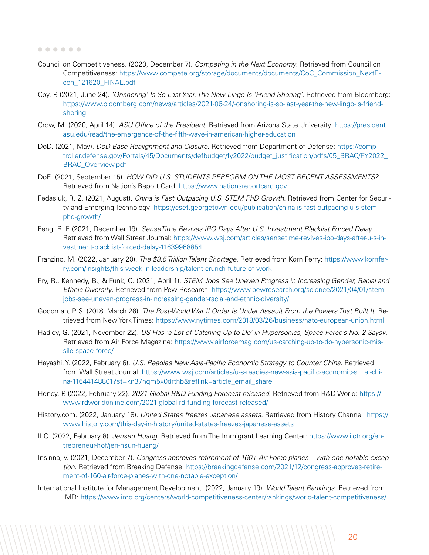### 

- Council on Competitiveness. (2020, December 7). *Competing in the Next Economy*. Retrieved from Council on Competitiveness: [https://www.compete.org/storage/documents/documents/CoC\\_Commission\\_NextE](https://www.compete.org/storage/documents/documents/CoC_Commission_NextEcon_121620_FINAL.pdf)[con\\_121620\\_FINAL.pdf](https://www.compete.org/storage/documents/documents/CoC_Commission_NextEcon_121620_FINAL.pdf)
- Coy, P. (2021, June 24). *'Onshoring' Is So Last Year. The New Lingo Is 'Friend-Shoring'*. Retrieved from Bloomberg: [https://www.bloomberg.com/news/articles/2021-06-24/-onshoring-is-so-last-year-the-new-lingo-is-friend](https://www.bloomberg.com/news/articles/2021-06-24/-onshoring-is-so-last-year-the-new-lingo-is-frien)[shoring](https://www.bloomberg.com/news/articles/2021-06-24/-onshoring-is-so-last-year-the-new-lingo-is-frien)
- Crow, M. (2020, April 14). *ASU Office of the President*. Retrieved from Arizona State University: [https://president.](https://president.asu.edu/read/the-emergence-of-the-fifth-wave-in-american-higher-education) [asu.edu/read/the-emergence-of-the-fifth-wave-in-american-higher-education](https://president.asu.edu/read/the-emergence-of-the-fifth-wave-in-american-higher-education)
- DoD. (2021, May). *DoD Base Realignment and Closure*. Retrieved from Department of Defense: [https://comp](https://comptroller.defense.gov/Portals/45/Documents/defbudget/fy2022/budget_justification/pdfs/05_B)[troller.defense.gov/Portals/45/Documents/defbudget/fy2022/budget\\_justification/pdfs/05\\_BRAC/FY2022\\_](https://comptroller.defense.gov/Portals/45/Documents/defbudget/fy2022/budget_justification/pdfs/05_B) [BRAC\\_Overview.pdf](https://comptroller.defense.gov/Portals/45/Documents/defbudget/fy2022/budget_justification/pdfs/05_B)
- DoE. (2021, September 15). *HOW DID U.S. STUDENTS PERFORM ON THE MOST RECENT ASSESSMENTS?* Retrieved from Nation's Report Card: [https://www.nationsreportcard.gov]( https://www.nationsreportcard.gov )
- Fedasiuk, R. Z. (2021, August). *China is Fast Outpacing U.S. STEM PhD Growth*. Retrieved from Center for Security and Emerging Technology: [https://cset.georgetown.edu/publication/china-is-fast-outpacing-u-s-stem](https://cset.georgetown.edu/publication/china-is-fast-outpacing-u-s-stem-phd-growth/)[phd-growth/](https://cset.georgetown.edu/publication/china-is-fast-outpacing-u-s-stem-phd-growth/)
- Feng, R. F. (2021, December 19). *SenseTime Revives IPO Days After U.S. Investment Blacklist Forced Delay*. Retrieved from Wall Street Journal: [https://www.wsj.com/articles/sensetime-revives-ipo-days-after-u-s-in](https://www.wsj.com/articles/sensetime-revives-ipo-days-after-u-s-investment-blacklist-forced-delay-)[vestment-blacklist-forced-delay-11639968854](https://www.wsj.com/articles/sensetime-revives-ipo-days-after-u-s-investment-blacklist-forced-delay-)
- Franzino, M. (2022, January 20). *The \$8.5 Trillion Talent Shortage*. Retrieved from Korn Ferry: [https://www.kornfer](https://www.kornferry.com/insights/this-week-in-leadership/talent-crunch-future-of-work)[ry.com/insights/this-week-in-leadership/talent-crunch-future-of-work](https://www.kornferry.com/insights/this-week-in-leadership/talent-crunch-future-of-work)
- Fry, R., Kennedy, B., & Funk, C. (2021, April 1). *STEM Jobs See Uneven Progress in Increasing Gender, Racial and Ethnic Diversity*. Retrieved from Pew Research: [https://www.pewresearch.org/science/2021/04/01/stem](https://www.pewresearch.org/science/2021/04/01/stem-jobs-see-uneven-progress-in-increasing-gender-ra)[jobs-see-uneven-progress-in-increasing-gender-racial-and-ethnic-diversity/](https://www.pewresearch.org/science/2021/04/01/stem-jobs-see-uneven-progress-in-increasing-gender-ra)
- Goodman, P. S. (2018, March 26). *The Post-World War II Order Is Under Assault From the Powers That Built It*. Retrieved from New York Times: [https://www.nytimes.com/2018/03/26/business/nato-european-union.html](https://www.nytimes.com/2018/03/26/business/nato-european-union.html )
- Hadley, G. (2021, November 22). *US Has 'a Lot of Catching Up to Do' in Hypersonics, Space Force's No. 2 Saysv*. Retrieved from Air Force Magazine: [https://www.airforcemag.com/us-catching-up-to-do-hypersonic-mis](https://www.airforcemag.com/us-catching-up-to-do-hypersonic-missile-space-force/ )[sile-space-force/](https://www.airforcemag.com/us-catching-up-to-do-hypersonic-missile-space-force/ )
- Hayashi, Y. (2022, February 6). *U.S. Readies New Asia-Pacific Economic Strategy to Counter China*. Retrieved from Wall Street Journal: [https://www.wsj.com/articles/u-s-readies-new-asia-pacific-economic-s…er-chi](https://www.wsj.com/articles/u-s-readies-new-asia-pacific-economic-ser-china-11644148801?st=kn37hqm5x0drthb&reflink=article_email_share )[na-11644148801?st=kn37hqm5x0drthb&reflink=article\\_email\\_share](https://www.wsj.com/articles/u-s-readies-new-asia-pacific-economic-ser-china-11644148801?st=kn37hqm5x0drthb&reflink=article_email_share )
- Heney, P. (2022, February 22). *2021 Global R&D Funding Forecast released*. Retrieved from R&D World: [https://](https://www.rdworldonline.com/2021-global-rd-funding-forecast-released/ ) [www.rdworldonline.com/2021-global-rd-funding-forecast-released/](https://www.rdworldonline.com/2021-global-rd-funding-forecast-released/ )
- History.com. (2022, January 18). *United States freezes Japanese assets*. Retrieved from History Channel: [https://](https://www.history.com/this-day-in-history/united-states-freezes-japanese-assets) [www.history.com/this-day-in-history/united-states-freezes-japanese-assets](https://www.history.com/this-day-in-history/united-states-freezes-japanese-assets)
- ILC. (2022, February 8). *Jensen Huang*. Retrieved from The Immigrant Learning Center: [https://www.ilctr.org/en]( https://www.ilctr.org/entrepreneur-hof/jen-hsun-huang/)[trepreneur-hof/jen-hsun-huang/]( https://www.ilctr.org/entrepreneur-hof/jen-hsun-huang/)
- Insinna, V. (2021, December 7). *Congress approves retirement of 160+ Air Force planes with one notable exception*. Retrieved from Breaking Defense: [https://breakingdefense.com/2021/12/congress-approves-retire](https://breakingdefense.com/2021/12/congress-approves-retirement-of-160-air-force-planes-with-one-notable-exception/ )[ment-of-160-air-force-planes-with-one-notable-exception/](https://breakingdefense.com/2021/12/congress-approves-retirement-of-160-air-force-planes-with-one-notable-exception/ )
- International Institute for Management Development. (2022, January 19). *World Talent Rankings*. Retrieved from IMD: [https://www.imd.org/centers/world-competitiveness-center/rankings/world-talent-competitiveness/](https://www.imd.org/centers/world-competitiveness-center/rankings/world-talent-competitiveness/ )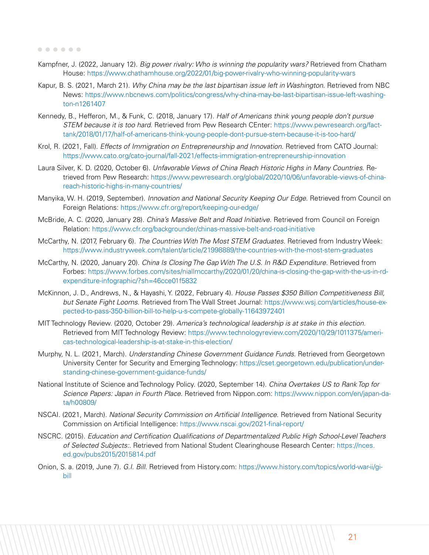- Kampfner, J. (2022, January 12). *Big power rivalry: Who is winning the popularity wars?* Retrieved from Chatham House: [https://www.chathamhouse.org/2022/01/big-power-rivalry-who-winning-popularity-wars](https://www.chathamhouse.org/2022/01/big-power-rivalry-who-winning-popularity-wars )
- Kapur, B. S. (2021, March 21). *Why China may be the last bipartisan issue left in Washington*. Retrieved from NBC News: [https://www.nbcnews.com/politics/congress/why-china-may-be-last-bipartisan-issue-left-washing](https://www.nbcnews.com/politics/congress/why-china-may-be-last-bipartisan-issue-left-washington-n1261407)[ton-n1261407](https://www.nbcnews.com/politics/congress/why-china-may-be-last-bipartisan-issue-left-washington-n1261407)
- Kennedy, B., Hefferon, M., & Funk, C. (2018, January 17). *Half of Americans think young people don't pursue STEM because it is too hard*. Retrieved from Pew Research CEnter: [https://www.pewresearch.org/fact](https://www.pewresearch.org/fact-tank/2018/01/17/half-of-americans-think-young-people-dont-pursue-stem-because-it-is-too-hard/ )[tank/2018/01/17/half-of-americans-think-young-people-dont-pursue-stem-because-it-is-too-hard/](https://www.pewresearch.org/fact-tank/2018/01/17/half-of-americans-think-young-people-dont-pursue-stem-because-it-is-too-hard/ )
- Krol, R. (2021, Fall). *Effects of Immigration on Entrepreneurship and Innovation*. Retrieved from CATO Journal: <https://www.cato.org/cato-journal/fall-2021/effects-immigration-entrepreneurship-innovation>
- Laura Silver, K. D. (2020, October 6). *Unfavorable Views of China Reach Historic Highs in Many Countries*. Retrieved from Pew Research: [https://www.pewresearch.org/global/2020/10/06/unfavorable-views-of-china](https://www.pewresearch.org/global/2020/10/06/unfavorable-views-of-china-reach-historic-highs-in-many-countries/ )[reach-historic-highs-in-many-countries/](https://www.pewresearch.org/global/2020/10/06/unfavorable-views-of-china-reach-historic-highs-in-many-countries/ )
- Manyika, W. H. (2019, September). *Innovation and National Security Keeping Our Edge*. Retrieved from Council on Foreign Relations:<https://www.cfr.org/report/keeping-our-edge/>
- McBride, A. C. (2020, January 28). *China's Massive Belt and Road Initiative*. Retrieved from Council on Foreign Relation:<https://www.cfr.org/backgrounder/chinas-massive-belt-and-road-initiative>
- McCarthy, N. (2017, February 6). *The Countries With The Most STEM Graduates*. Retrieved from Industry Week[:]( https://www.industryweek.com/talent/article/21998889/the-countries-with-the-most-stem-graduates) [https://www.industryweek.com/talent/article/21998889/the-countries-with-the-most-stem-graduates]( https://www.industryweek.com/talent/article/21998889/the-countries-with-the-most-stem-graduates)
- McCarthy, N. (2020, January 20). *China Is Closing The Gap With The U.S. In R&D Expenditure*. Retrieved from Forbes: [https://www.forbes.com/sites/niallmccarthy/2020/01/20/china-is-closing-the-gap-with-the-us-in-rd](https://www.forbes.com/sites/niallmccarthy/2020/01/20/china-is-closing-the-gap-with-the-us-in-rd-expenditure-infographic/?sh=46cce01f5832 )[expenditure-infographic/?sh=46cce01f5832](https://www.forbes.com/sites/niallmccarthy/2020/01/20/china-is-closing-the-gap-with-the-us-in-rd-expenditure-infographic/?sh=46cce01f5832 )
- McKinnon, J. D., Andrews, N., & Hayashi, Y. (2022, February 4). *House Passes \$350 Billion Competitiveness Bill, but Senate Fight Looms*. Retrieved from The Wall Street Journal: [https://www.wsj.com/articles/house-ex]( https://www.wsj.com/articles/house-expected-to-pass-350-billion-bill-to-help-u-s-compete-globally-11643972401)[pected-to-pass-350-billion-bill-to-help-u-s-compete-globally-11643972401]( https://www.wsj.com/articles/house-expected-to-pass-350-billion-bill-to-help-u-s-compete-globally-11643972401)
- MIT Technology Review. (2020, October 29). *America's technological leadership is at stake in this election.* Retrieved from MIT Technology Review: [https://www.technologyreview.com/2020/10/29/1011375/ameri]( https://www.technologyreview.com/2020/10/29/1011375/americas-technological-leadership-is-at-stake-in-this-election/ )[cas-technological-leadership-is-at-stake-in-this-election/]( https://www.technologyreview.com/2020/10/29/1011375/americas-technological-leadership-is-at-stake-in-this-election/ )
- Murphy, N. L. (2021, March). *Understanding Chinese Government Guidance Funds*. Retrieved from Georgetown University Center for Security and Emerging Technology: [https://cset.georgetown.edu/publication/under](https://cset.georgetown.edu/publication/understanding-chinese-government-guidance-funds/)[standing-chinese-government-guidance-funds/](https://cset.georgetown.edu/publication/understanding-chinese-government-guidance-funds/)
- National Institute of Science and Technology Policy. (2020, September 14). *China Overtakes US to Rank Top for Science Papers: Japan in Fourth Place*. Retrieved from Nippon.com: [https://www.nippon.com/en/japan-da](https://www.nippon.com/en/japan-data/h00809/ )[ta/h00809/](https://www.nippon.com/en/japan-data/h00809/ )
- NSCAI. (2021, March). *National Security Commission on Artificial Intelligence*. Retrieved from National Security Commission on Artificial Intelligence:<https://www.nscai.gov/2021-final-report/>
- NSCRC. (2015). *Education and Certification Qualifications of Departmentalized Public High School-Level Teachers of Selected Subjects:*. Retrieved from National Student Clearinghouse Research Center: [https://nces.](https://nces.ed.gov/pubs2015/2015814.pdf ) [ed.gov/pubs2015/2015814.pdf](https://nces.ed.gov/pubs2015/2015814.pdf )
- Onion, S. a. (2019, June 7). *G.I. Bill*. Retrieved from History.com: [https://www.history.com/topics/world-war-ii/gi](https://www.history.com/topics/world-war-ii/gi-bill)[bill](https://www.history.com/topics/world-war-ii/gi-bill)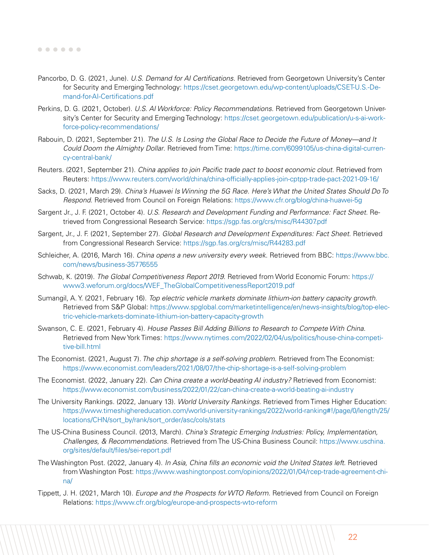- Pancorbo, D. G. (2021, June). *U.S. Demand for AI Certifications*. Retrieved from Georgetown University's Center for Security and Emerging Technology: [https://cset.georgetown.edu/wp-content/uploads/CSET-U.S.-De](https://cset.georgetown.edu/wp-content/uploads/CSET-U.S.-Demand-for-AI-Certifications.pdf )[mand-for-AI-Certifications.pdf](https://cset.georgetown.edu/wp-content/uploads/CSET-U.S.-Demand-for-AI-Certifications.pdf )
- Perkins, D. G. (2021, October). *U.S. AI Workforce: Policy Recommendations*. Retrieved from Georgetown University's Center for Security and Emerging Technology: [https://cset.georgetown.edu/publication/u-s-ai-work](https://cset.georgetown.edu/publication/u-s-ai-workforce-policy-recommendations/ )[force-policy-recommendations/](https://cset.georgetown.edu/publication/u-s-ai-workforce-policy-recommendations/ )
- Rabouin, D. (2021, September 21). *The U.S. Is Losing the Global Race to Decide the Future of Money—and It Could Doom the Almighty Dollar*. Retrieved from Time: [https://time.com/6099105/us-china-digital-curren](https://time.com/6099105/us-china-digital-currency-central-bank/)[cy-central-bank/](https://time.com/6099105/us-china-digital-currency-central-bank/)
- Reuters. (2021, September 21). *China applies to join Pacific trade pact to boost economic clout.* Retrieved from Reuters:<https://www.reuters.com/world/china/china-officially-applies-join-cptpp-trade-pact-2021-09-16/>
- Sacks, D. (2021, March 29). *China's Huawei Is Winning the 5G Race. Here's What the United States Should Do To Respond*. Retrieved from Council on Foreign Relations:<https://www.cfr.org/blog/china-huawei-5g>
- Sargent Jr., J. F. (2021, October 4). *U.S. Research and Development Funding and Performance: Fact Sheet.* Retrieved from Congressional Research Service: <https://sgp.fas.org/crs/misc/R44307.pdf>
- Sargent, Jr., J. F. (2021, September 27). *Global Research and Development Expenditures: Fact Sheet*. Retrieved from Congressional Research Service: <https://sgp.fas.org/crs/misc/R44283.pdf>
- Schleicher, A. (2016, March 16). *China opens a new university every week*. Retrieved from BBC: [https://www.bbc.](https://www.bbc.com/news/business-35776555) [com/news/business-35776555](https://www.bbc.com/news/business-35776555)
- Schwab, K. (2019). *The Global Competitiveness Report 2019*. Retrieved from World Economic Forum: [https://](https://www3.weforum.org/docs/WEF_TheGlobalCompetitivenessReport2019.pdf) [www3.weforum.org/docs/WEF\\_TheGlobalCompetitivenessReport2019.pdf](https://www3.weforum.org/docs/WEF_TheGlobalCompetitivenessReport2019.pdf)
- Sumangil, A. Y. (2021, February 16). *Top electric vehicle markets dominate lithium-ion battery capacity growth*. Retrieved from S&P Global: [https://www.spglobal.com/marketintelligence/en/news-insights/blog/top-elec](https://www.spglobal.com/marketintelligence/en/news-insights/blog/top-electric-vehicle-markets-dominate-lithium-ion-battery-capacity-growth)[tric-vehicle-markets-dominate-lithium-ion-battery-capacity-growth](https://www.spglobal.com/marketintelligence/en/news-insights/blog/top-electric-vehicle-markets-dominate-lithium-ion-battery-capacity-growth)
- Swanson, C. E. (2021, February 4). *House Passes Bill Adding Billions to Research to Compete With China*. Retrieved from New York Times: [https://www.nytimes.com/2022/02/04/us/politics/house-china-competi](https://www.nytimes.com/2022/02/04/us/politics/house-china-competitive-bill.html)[tive-bill.html](https://www.nytimes.com/2022/02/04/us/politics/house-china-competitive-bill.html)
- The Economist. (2021, August 7). *The chip shortage is a self-solving problem*. Retrieved from The Economist: <https://www.economist.com/leaders/2021/08/07/the-chip-shortage-is-a-self-solving-problem>
- The Economist. (2022, January 22). *Can China create a world-beating AI industry?* Retrieved from Economist: <https://www.economist.com/business/2022/01/22/can-china-create-a-world-beating-ai-industry>
- The University Rankings. (2022, January 13). *World University Rankings*. Retrieved from Times Higher Education: [https://www.timeshighereducation.com/world-university-rankings/2022/world-ranking#!/page/0/length/25/](https://www.timeshighereducation.com/world-university-rankings/2022/world-ranking#!/page/0/length/25/locations/CHN/sort_by/rank/sort_order/asc/cols/stats) [locations/CHN/sort\\_by/rank/sort\\_order/asc/cols/stats](https://www.timeshighereducation.com/world-university-rankings/2022/world-ranking#!/page/0/length/25/locations/CHN/sort_by/rank/sort_order/asc/cols/stats)
- The US-China Business Council. (2013, March). *China's Strategic Emerging Industries: Policy, Implementation, Challenges, & Recommendations*. Retrieved from The US-China Business Council: [https://www.uschina.](https://www.uschina.org/sites/default/files/sei-report.pdf) [org/sites/default/files/sei-report.pdf](https://www.uschina.org/sites/default/files/sei-report.pdf)
- The Washington Post. (2022, January 4). *In Asia, China fills an economic void the United States left*. Retrieved from Washington Post: [https://www.washingtonpost.com/opinions/2022/01/04/rcep-trade-agreement-chi](https://www.washingtonpost.com/opinions/2022/01/04/rcep-trade-agreement-china/)[na/](https://www.washingtonpost.com/opinions/2022/01/04/rcep-trade-agreement-china/)
- Tippett, J. H. (2021, March 10). *Europe and the Prospects for WTO Reform*. Retrieved from Council on Foreign Relations:<https://www.cfr.org/blog/europe-and-prospects-wto-reform>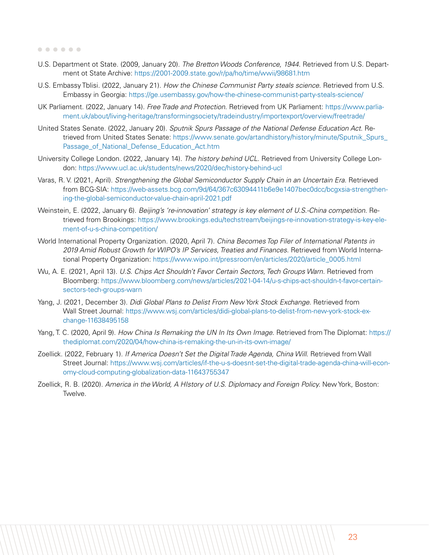- U.S. Department ot State. (2009, January 20). *The Bretton Woods Conference, 1944*. Retrieved from U.S. Department ot State Archive:<https://2001-2009.state.gov/r/pa/ho/time/wwii/98681.htm>
- U.S. Embassy Tblisi. (2022, January 21). *How the Chinese Communist Party steals science*. Retrieved from U.S. Embassy in Georgia: <https://ge.usembassy.gov/how-the-chinese-communist-party-steals-science/>
- UK Parliament. (2022, January 14). *Free Trade and Protection*. Retrieved from UK Parliament: [https://www.parlia]( https://www.parliament.uk/about/living-heritage/transformingsociety/tradeindustry/importexport/over)[ment.uk/about/living-heritage/transformingsociety/tradeindustry/importexport/overview/freetrade/]( https://www.parliament.uk/about/living-heritage/transformingsociety/tradeindustry/importexport/over)
- United States Senate. (2022, January 20). *Sputnik Spurs Passage of the National Defense Education Act*. Retrieved from United States Senate: [https://www.senate.gov/artandhistory/history/minute/Sputnik\\_Spurs\\_](https://www.senate.gov/artandhistory/history/minute/Sputnik_Spurs_Passage_of_National_Defense_Educat) [Passage\\_of\\_National\\_Defense\\_Education\\_Act.htm](https://www.senate.gov/artandhistory/history/minute/Sputnik_Spurs_Passage_of_National_Defense_Educat)
- University College London. (2022, January 14). *The history behind UCL*. Retrieved from University College London:<https://www.ucl.ac.uk/students/news/2020/dec/history-behind-ucl>
- Varas, R. V. (2021, April). *Strengthening the Global Semiconductor Supply Chain in an Uncertain Era*. Retrieved from BCG-SIA: [https://web-assets.bcg.com/9d/64/367c63094411b6e9e1407bec0dcc/bcgxsia-strengthen](https://web-assets.bcg.com/9d/64/367c63094411b6e9e1407bec0dcc/bcgxsia-strengthening-the-global-semic)[ing-the-global-semiconductor-value-chain-april-2021.pdf](https://web-assets.bcg.com/9d/64/367c63094411b6e9e1407bec0dcc/bcgxsia-strengthening-the-global-semic)
- Weinstein, E. (2022, January 6). *Beijing's 're-innovation' strategy is key element of U.S.-China competition*. Retrieved from Brookings: [https://www.brookings.edu/techstream/beijings-re-innovation-strategy-is-key-ele](https://www.brookings.edu/techstream/beijings-re-innovation-strategy-is-key-element-of-u-s-china-com)[ment-of-u-s-china-competition/](https://www.brookings.edu/techstream/beijings-re-innovation-strategy-is-key-element-of-u-s-china-com)
- World International Property Organization. (2020, April 7). *China Becomes Top Filer of International Patents in 2019 Amid Robust Growth for WIPO's IP Services, Treaties and Finances*. Retrieved from World International Property Organization: [https://www.wipo.int/pressroom/en/articles/2020/article\\_0005.html](https://www.wipo.int/pressroom/en/articles/2020/article_0005.html)
- Wu, A. E. (2021, April 13). *U.S. Chips Act Shouldn't Favor Certain Sectors, Tech Groups Warn*. Retrieved from Bloomberg: [https://www.bloomberg.com/news/articles/2021-04-14/u-s-chips-act-shouldn-t-favor-certain](https://www.bloomberg.com/news/articles/2021-04-14/u-s-chips-act-shouldn-t-favor-certain-sectors-tec)[sectors-tech-groups-warn](https://www.bloomberg.com/news/articles/2021-04-14/u-s-chips-act-shouldn-t-favor-certain-sectors-tec)
- Yang, J. (2021, December 3). *Didi Global Plans to Delist From New York Stock Exchange*. Retrieved from Wall Street Journal: [https://www.wsj.com/articles/didi-global-plans-to-delist-from-new-york-stock-ex](https://www.wsj.com/articles/didi-global-plans-to-delist-from-new-york-stock-exchange-11638495158)[change-11638495158](https://www.wsj.com/articles/didi-global-plans-to-delist-from-new-york-stock-exchange-11638495158)
- Yang, T. C. (2020, April 9). *How China Is Remaking the UN In Its Own Image*. Retrieved from The Diplomat: [https://](https://thediplomat.com/2020/04/how-china-is-remaking-the-un-in-its-own-image/) [thediplomat.com/2020/04/how-china-is-remaking-the-un-in-its-own-image/](https://thediplomat.com/2020/04/how-china-is-remaking-the-un-in-its-own-image/)
- Zoellick. (2022, February 1). *If America Doesn't Set the Digital Trade Agenda, China Will*. Retrieved from Wall Street Journal: [https://www.wsj.com/articles/if-the-u-s-doesnt-set-the-digital-trade-agenda-china-will-econ](https://www.wsj.com/articles/if-the-u-s-doesnt-set-the-digital-trade-agenda-china-will-economy-cloud-computing-globalization-data-11643755347)[omy-cloud-computing-globalization-data-11643755347](https://www.wsj.com/articles/if-the-u-s-doesnt-set-the-digital-trade-agenda-china-will-economy-cloud-computing-globalization-data-11643755347)
- Zoellick, R. B. (2020). *America in the World, A HIstory of U.S. Diplomacy and Foreign Policy.* New York, Boston: Twelve.